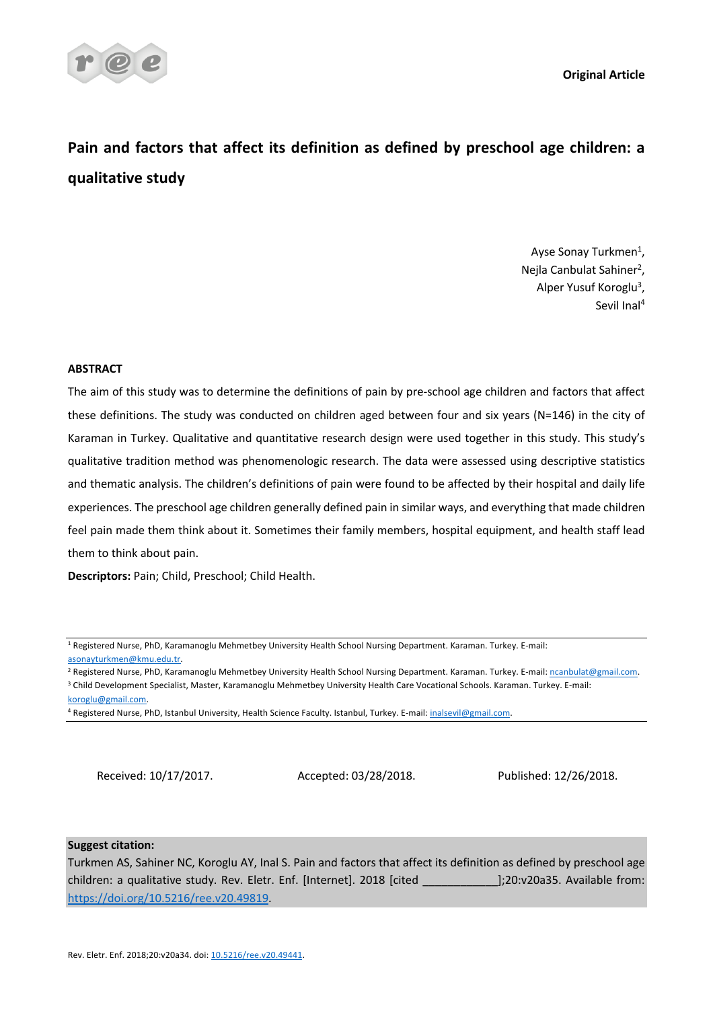

**Original Article**

# **Pain and factors that affect its definition as defined by preschool age children: a qualitative study**

Ayse Sonay Turkmen<sup>1</sup>, Nejla Canbulat Sahiner<sup>2</sup>, Alper Yusuf Koroglu<sup>3</sup>, Sevil Inal4

# **ABSTRACT**

The aim of this study was to determine the definitions of pain by pre-school age children and factors that affect these definitions. The study was conducted on children aged between four and six years (N=146) in the city of Karaman in Turkey. Qualitative and quantitative research design were used together in this study. This study's qualitative tradition method was phenomenologic research. The data were assessed using descriptive statistics and thematic analysis. The children's definitions of pain were found to be affected by their hospital and daily life experiences. The preschool age children generally defined pain in similar ways, and everything that made children feel pain made them think about it. Sometimes their family members, hospital equipment, and health staff lead them to think about pain.

**Descriptors:** Pain; Child, Preschool; Child Health.

Received: 10/17/2017. Accepted: 03/28/2018. Published: 12/26/2018.

# **Suggest citation:**

Turkmen AS, Sahiner NC, Koroglu AY, Inal S. Pain and factors that affect its definition as defined by preschool age children: a qualitative study. Rev. Eletr. Enf. [Internet]. 2018 [cited \_\_\_\_\_\_\_\_\_\_\_\_];20:v20a35. Available from: https://doi.org/10.5216/ree.v20.49819.

<sup>1</sup> Registered Nurse, PhD, Karamanoglu Mehmetbey University Health School Nursing Department. Karaman. Turkey. E-mail: asonayturkmen@kmu.edu.tr.

<sup>&</sup>lt;sup>2</sup> Registered Nurse, PhD, Karamanoglu Mehmetbey University Health School Nursing Department. Karaman. Turkey. E-mail: ncanbulat@gmail.com.

<sup>3</sup> Child Development Specialist, Master, Karamanoglu Mehmetbey University Health Care Vocational Schools. Karaman. Turkey. E-mail: koroglu@gmail.com.

<sup>4</sup> Registered Nurse, PhD, Istanbul University, Health Science Faculty. Istanbul, Turkey. E-mail: inalsevil@gmail.com.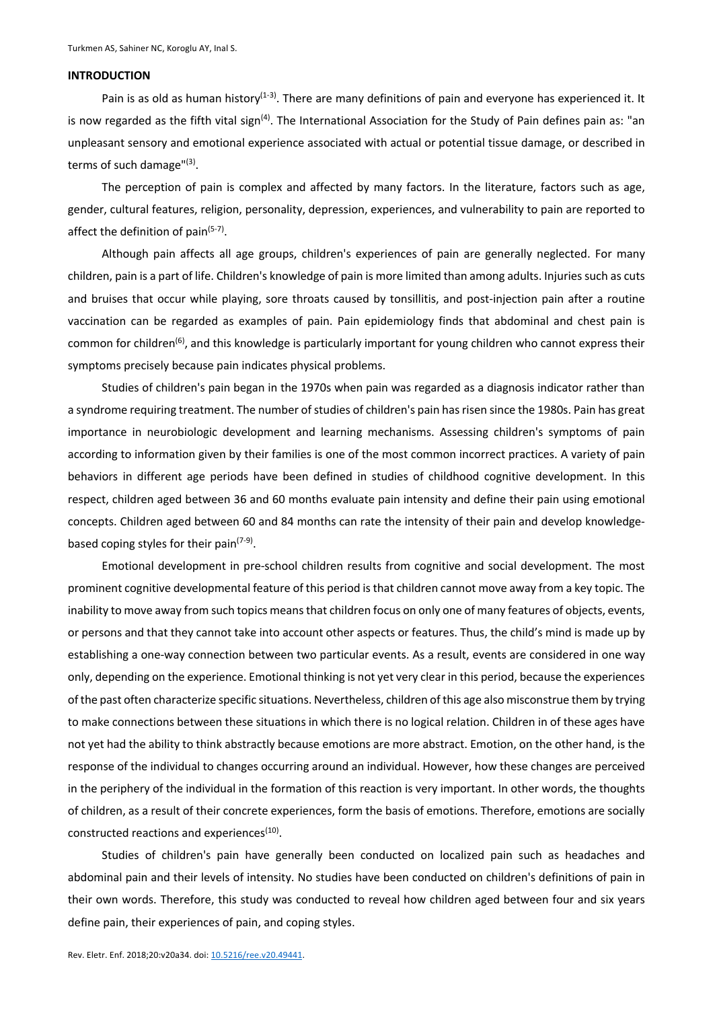## **INTRODUCTION**

Pain is as old as human history<sup>(1-3)</sup>. There are many definitions of pain and everyone has experienced it. It is now regarded as the fifth vital sign<sup>(4)</sup>. The International Association for the Study of Pain defines pain as: "an unpleasant sensory and emotional experience associated with actual or potential tissue damage, or described in terms of such damage"(3).

The perception of pain is complex and affected by many factors. In the literature, factors such as age, gender, cultural features, religion, personality, depression, experiences, and vulnerability to pain are reported to affect the definition of pain $(5-7)$ .

Although pain affects all age groups, children's experiences of pain are generally neglected. For many children, pain is a part of life. Children's knowledge of pain is more limited than among adults. Injuries such as cuts and bruises that occur while playing, sore throats caused by tonsillitis, and post-injection pain after a routine vaccination can be regarded as examples of pain. Pain epidemiology finds that abdominal and chest pain is common for children<sup>(6)</sup>, and this knowledge is particularly important for young children who cannot express their symptoms precisely because pain indicates physical problems.

Studies of children's pain began in the 1970s when pain was regarded as a diagnosis indicator rather than a syndrome requiring treatment. The number of studies of children's pain has risen since the 1980s. Pain has great importance in neurobiologic development and learning mechanisms. Assessing children's symptoms of pain according to information given by their families is one of the most common incorrect practices. A variety of pain behaviors in different age periods have been defined in studies of childhood cognitive development. In this respect, children aged between 36 and 60 months evaluate pain intensity and define their pain using emotional concepts. Children aged between 60 and 84 months can rate the intensity of their pain and develop knowledgebased coping styles for their pain $(7-9)$ .

Emotional development in pre-school children results from cognitive and social development. The most prominent cognitive developmental feature of this period is that children cannot move away from a key topic. The inability to move away from such topics means that children focus on only one of many features of objects, events, or persons and that they cannot take into account other aspects or features. Thus, the child's mind is made up by establishing a one-way connection between two particular events. As a result, events are considered in one way only, depending on the experience. Emotional thinking is not yet very clear in this period, because the experiences of the past often characterize specific situations. Nevertheless, children of this age also misconstrue them by trying to make connections between these situations in which there is no logical relation. Children in of these ages have not yet had the ability to think abstractly because emotions are more abstract. Emotion, on the other hand, is the response of the individual to changes occurring around an individual. However, how these changes are perceived in the periphery of the individual in the formation of this reaction is very important. In other words, the thoughts of children, as a result of their concrete experiences, form the basis of emotions. Therefore, emotions are socially constructed reactions and experiences<sup>(10)</sup>.

Studies of children's pain have generally been conducted on localized pain such as headaches and abdominal pain and their levels of intensity. No studies have been conducted on children's definitions of pain in their own words. Therefore, this study was conducted to reveal how children aged between four and six years define pain, their experiences of pain, and coping styles.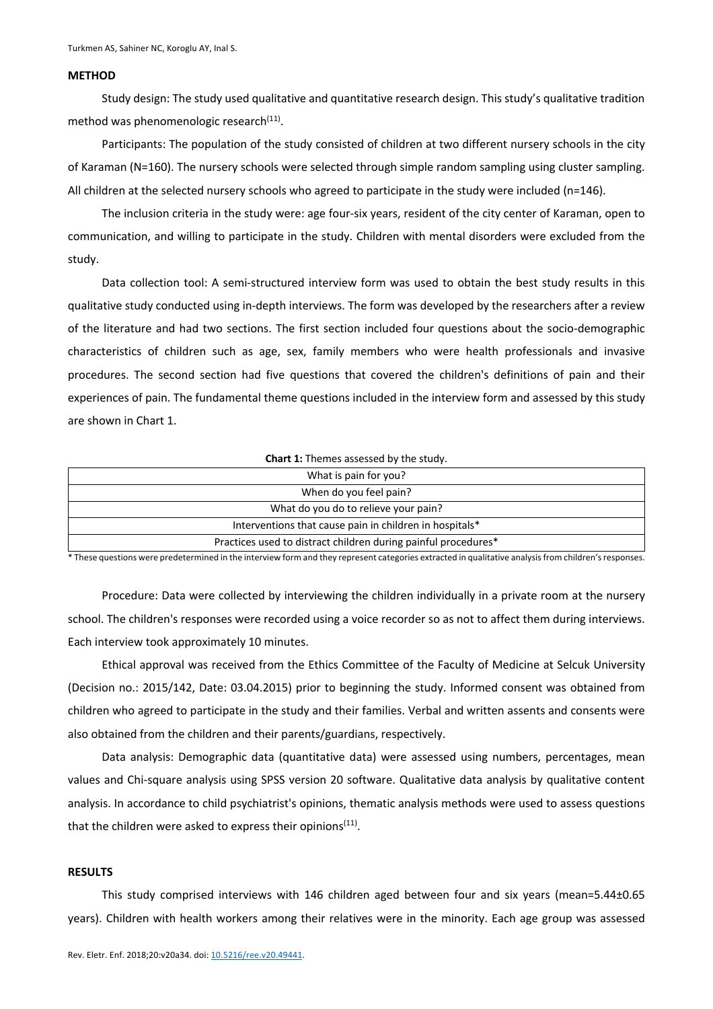## **METHOD**

Study design: The study used qualitative and quantitative research design. This study's qualitative tradition method was phenomenologic research $(11)$ .

Participants: The population of the study consisted of children at two different nursery schools in the city of Karaman (N=160). The nursery schools were selected through simple random sampling using cluster sampling. All children at the selected nursery schools who agreed to participate in the study were included (n=146).

The inclusion criteria in the study were: age four-six years, resident of the city center of Karaman, open to communication, and willing to participate in the study. Children with mental disorders were excluded from the study.

Data collection tool: A semi-structured interview form was used to obtain the best study results in this qualitative study conducted using in-depth interviews. The form was developed by the researchers after a review of the literature and had two sections. The first section included four questions about the socio-demographic characteristics of children such as age, sex, family members who were health professionals and invasive procedures. The second section had five questions that covered the children's definitions of pain and their experiences of pain. The fundamental theme questions included in the interview form and assessed by this study are shown in Chart 1.

#### **Chart 1:** Themes assessed by the study.

| What is pain for you?                                          |  |  |
|----------------------------------------------------------------|--|--|
| When do you feel pain?                                         |  |  |
| What do you do to relieve your pain?                           |  |  |
| Interventions that cause pain in children in hospitals*        |  |  |
| Practices used to distract children during painful procedures* |  |  |

\* These questions were predetermined in the interview form and they represent categories extracted in qualitative analysis from children's responses.

Procedure: Data were collected by interviewing the children individually in a private room at the nursery school. The children's responses were recorded using a voice recorder so as not to affect them during interviews. Each interview took approximately 10 minutes.

Ethical approval was received from the Ethics Committee of the Faculty of Medicine at Selcuk University (Decision no.: 2015/142, Date: 03.04.2015) prior to beginning the study. Informed consent was obtained from children who agreed to participate in the study and their families. Verbal and written assents and consents were also obtained from the children and their parents/guardians, respectively.

Data analysis: Demographic data (quantitative data) were assessed using numbers, percentages, mean values and Chi-square analysis using SPSS version 20 software. Qualitative data analysis by qualitative content analysis. In accordance to child psychiatrist's opinions, thematic analysis methods were used to assess questions that the children were asked to express their opinions $(11)$ .

# **RESULTS**

This study comprised interviews with 146 children aged between four and six years (mean=5.44±0.65 years). Children with health workers among their relatives were in the minority. Each age group was assessed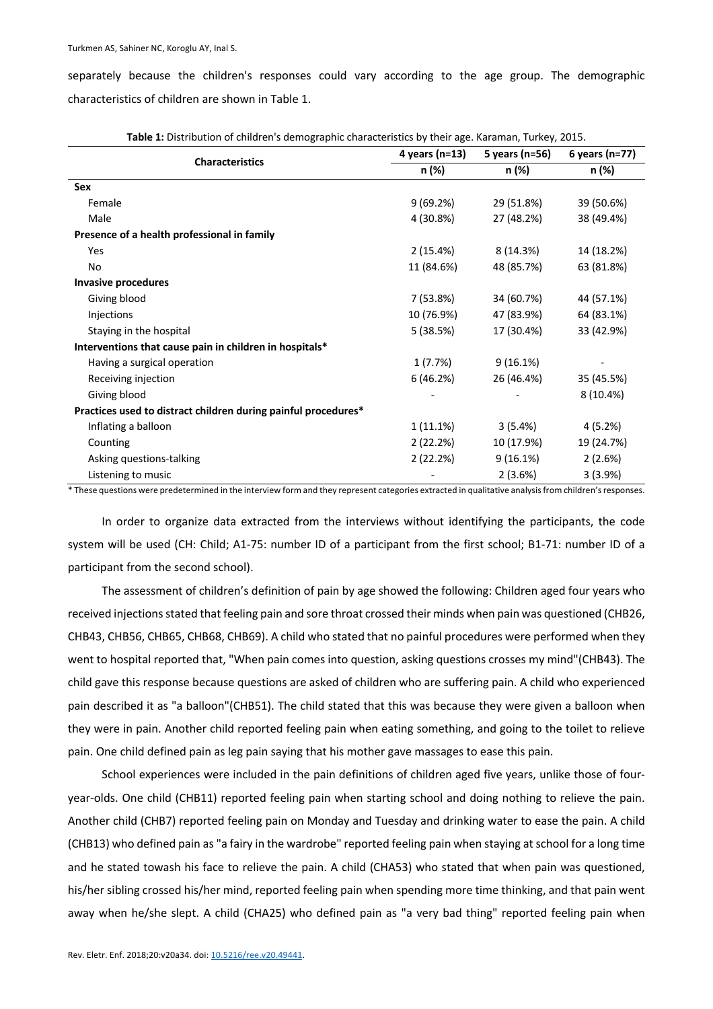separately because the children's responses could vary according to the age group. The demographic characteristics of children are shown in Table 1.

| <b>Characteristics</b>                                         | 4 years (n=13) | 5 years (n=56) | 6 years (n=77) |
|----------------------------------------------------------------|----------------|----------------|----------------|
|                                                                | n (%)          | n (%)          | n (%)          |
| Sex                                                            |                |                |                |
| Female                                                         | 9(69.2%)       | 29 (51.8%)     | 39 (50.6%)     |
| Male                                                           | 4 (30.8%)      | 27 (48.2%)     | 38 (49.4%)     |
| Presence of a health professional in family                    |                |                |                |
| Yes                                                            | 2(15.4%)       | 8 (14.3%)      | 14 (18.2%)     |
| No                                                             | 11 (84.6%)     | 48 (85.7%)     | 63 (81.8%)     |
| <b>Invasive procedures</b>                                     |                |                |                |
| Giving blood                                                   | 7 (53.8%)      | 34 (60.7%)     | 44 (57.1%)     |
| Injections                                                     | 10 (76.9%)     | 47 (83.9%)     | 64 (83.1%)     |
| Staying in the hospital                                        | 5 (38.5%)      | 17 (30.4%)     | 33 (42.9%)     |
| Interventions that cause pain in children in hospitals*        |                |                |                |
| Having a surgical operation                                    | 1 (7.7%)       | $9(16.1\%)$    |                |
| Receiving injection                                            | 6 (46.2%)      | 26 (46.4%)     | 35 (45.5%)     |
| Giving blood                                                   |                |                | 8 (10.4%)      |
| Practices used to distract children during painful procedures* |                |                |                |
| Inflating a balloon                                            | 1 (11.1%)      | 3(5.4%)        | 4 (5.2%)       |
| Counting                                                       | 2(22.2%)       | 10 (17.9%)     | 19 (24.7%)     |
| Asking questions-talking                                       | 2(22.2%)       | 9(16.1%)       | 2(2.6%)        |
| Listening to music                                             |                | 2(3.6%)        | 3(3.9%)        |

**Table 1:** Distribution of children's demographic characteristics by their age. Karaman, Turkey, 2015.

\* These questions were predetermined in the interview form and they represent categories extracted in qualitative analysis from children's responses.

In order to organize data extracted from the interviews without identifying the participants, the code system will be used (CH: Child; A1-75: number ID of a participant from the first school; B1-71: number ID of a participant from the second school).

The assessment of children's definition of pain by age showed the following: Children aged four years who received injections stated that feeling pain and sore throat crossed their minds when pain was questioned (CHB26, CHB43, CHB56, CHB65, CHB68, CHB69). A child who stated that no painful procedures were performed when they went to hospital reported that, "When pain comes into question, asking questions crosses my mind"(CHB43). The child gave this response because questions are asked of children who are suffering pain. A child who experienced pain described it as "a balloon"(CHB51). The child stated that this was because they were given a balloon when they were in pain. Another child reported feeling pain when eating something, and going to the toilet to relieve pain. One child defined pain as leg pain saying that his mother gave massages to ease this pain.

School experiences were included in the pain definitions of children aged five years, unlike those of fouryear-olds. One child (CHB11) reported feeling pain when starting school and doing nothing to relieve the pain. Another child (CHB7) reported feeling pain on Monday and Tuesday and drinking water to ease the pain. A child (CHB13) who defined pain as "a fairy in the wardrobe" reported feeling pain when staying at school for a long time and he stated towash his face to relieve the pain. A child (CHA53) who stated that when pain was questioned, his/her sibling crossed his/her mind, reported feeling pain when spending more time thinking, and that pain went away when he/she slept. A child (CHA25) who defined pain as "a very bad thing" reported feeling pain when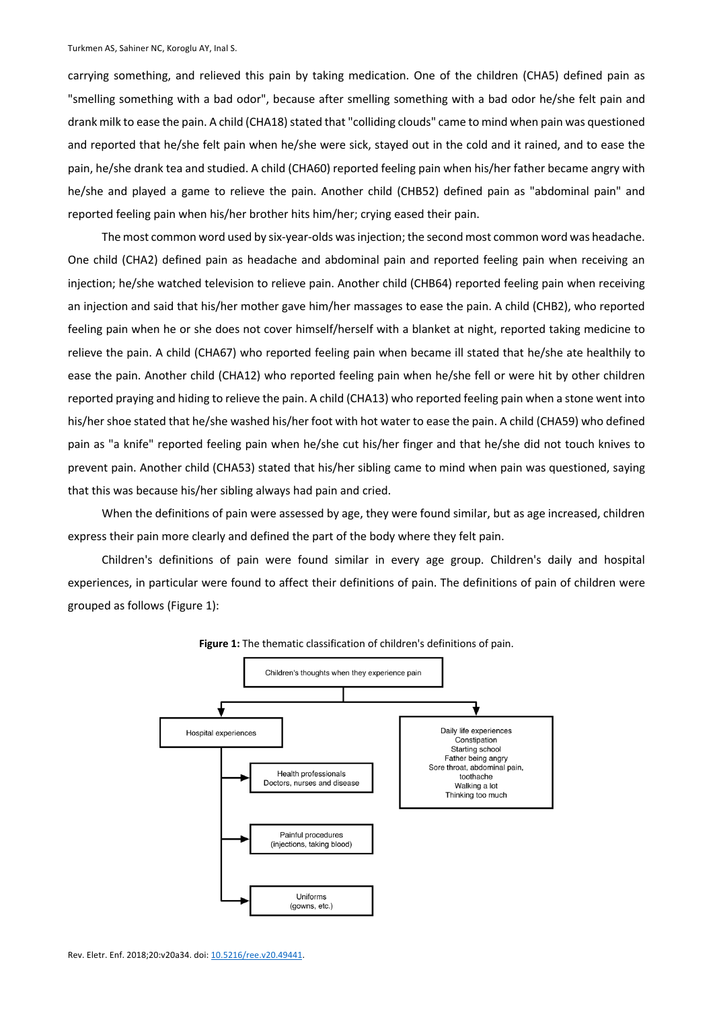carrying something, and relieved this pain by taking medication. One of the children (CHA5) defined pain as "smelling something with a bad odor", because after smelling something with a bad odor he/she felt pain and drank milk to ease the pain. A child (CHA18) stated that "colliding clouds" came to mind when pain was questioned and reported that he/she felt pain when he/she were sick, stayed out in the cold and it rained, and to ease the pain, he/she drank tea and studied. A child (CHA60) reported feeling pain when his/her father became angry with he/she and played a game to relieve the pain. Another child (CHB52) defined pain as "abdominal pain" and reported feeling pain when his/her brother hits him/her; crying eased their pain.

The most common word used by six-year-olds was injection; the second most common word was headache. One child (CHA2) defined pain as headache and abdominal pain and reported feeling pain when receiving an injection; he/she watched television to relieve pain. Another child (CHB64) reported feeling pain when receiving an injection and said that his/her mother gave him/her massages to ease the pain. A child (CHB2), who reported feeling pain when he or she does not cover himself/herself with a blanket at night, reported taking medicine to relieve the pain. A child (CHA67) who reported feeling pain when became ill stated that he/she ate healthily to ease the pain. Another child (CHA12) who reported feeling pain when he/she fell or were hit by other children reported praying and hiding to relieve the pain. A child (CHA13) who reported feeling pain when a stone went into his/her shoe stated that he/she washed his/her foot with hot water to ease the pain. A child (CHA59) who defined pain as "a knife" reported feeling pain when he/she cut his/her finger and that he/she did not touch knives to prevent pain. Another child (CHA53) stated that his/her sibling came to mind when pain was questioned, saying that this was because his/her sibling always had pain and cried.

When the definitions of pain were assessed by age, they were found similar, but as age increased, children express their pain more clearly and defined the part of the body where they felt pain.

Children's definitions of pain were found similar in every age group. Children's daily and hospital experiences, in particular were found to affect their definitions of pain. The definitions of pain of children were grouped as follows (Figure 1):



**Figure 1:** The thematic classification of children's definitions of pain.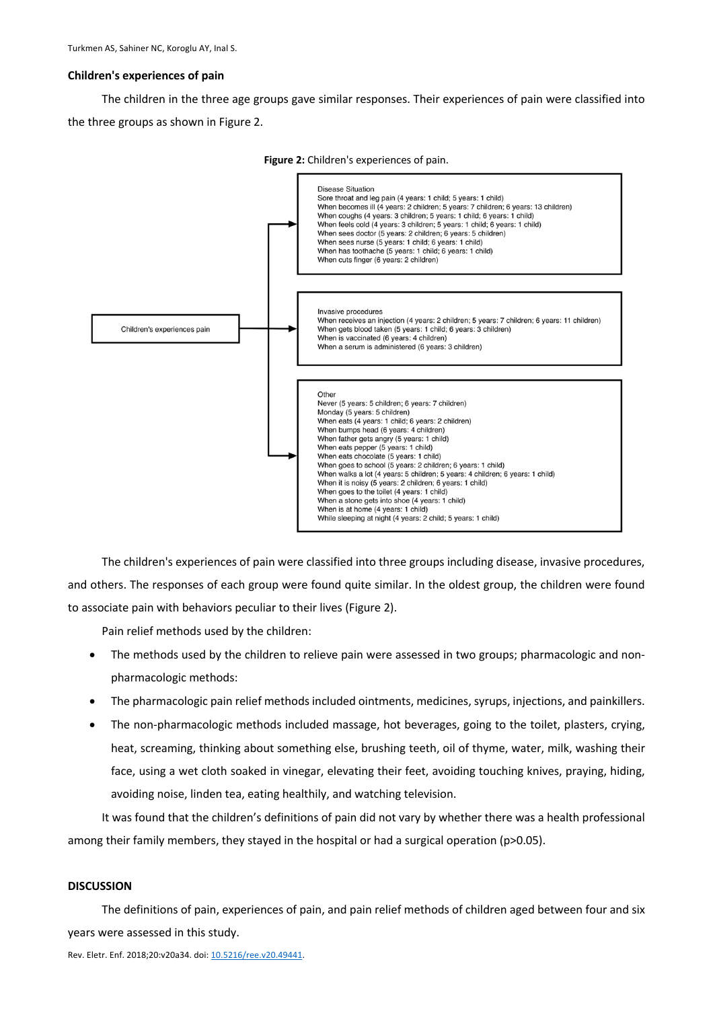## **Children's experiences of pain**

The children in the three age groups gave similar responses. Their experiences of pain were classified into the three groups as shown in Figure 2.





The children's experiences of pain were classified into three groups including disease, invasive procedures, and others. The responses of each group were found quite similar. In the oldest group, the children were found to associate pain with behaviors peculiar to their lives (Figure 2).

Pain relief methods used by the children:

- The methods used by the children to relieve pain were assessed in two groups; pharmacologic and nonpharmacologic methods:
- The pharmacologic pain relief methods included ointments, medicines, syrups, injections, and painkillers.
- The non-pharmacologic methods included massage, hot beverages, going to the toilet, plasters, crying, heat, screaming, thinking about something else, brushing teeth, oil of thyme, water, milk, washing their face, using a wet cloth soaked in vinegar, elevating their feet, avoiding touching knives, praying, hiding, avoiding noise, linden tea, eating healthily, and watching television.

It was found that the children's definitions of pain did not vary by whether there was a health professional among their family members, they stayed in the hospital or had a surgical operation (p>0.05).

# **DISCUSSION**

The definitions of pain, experiences of pain, and pain relief methods of children aged between four and six years were assessed in this study.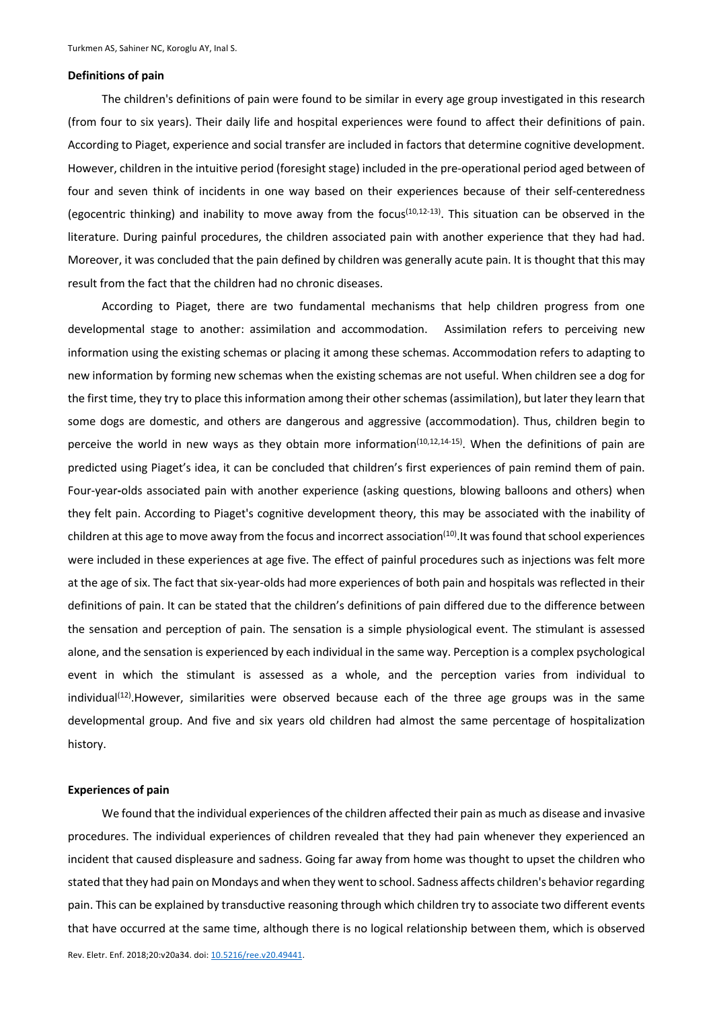#### **Definitions of pain**

The children's definitions of pain were found to be similar in every age group investigated in this research (from four to six years). Their daily life and hospital experiences were found to affect their definitions of pain. According to Piaget, experience and social transfer are included in factors that determine cognitive development. However, children in the intuitive period (foresight stage) included in the pre-operational period aged between of four and seven think of incidents in one way based on their experiences because of their self-centeredness (egocentric thinking) and inability to move away from the focus<sup>(10,12-13)</sup>. This situation can be observed in the literature. During painful procedures, the children associated pain with another experience that they had had. Moreover, it was concluded that the pain defined by children was generally acute pain. It is thought that this may result from the fact that the children had no chronic diseases.

According to Piaget, there are two fundamental mechanisms that help children progress from one developmental stage to another: assimilation and accommodation. Assimilation refers to perceiving new information using the existing schemas or placing it among these schemas. Accommodation refers to adapting to new information by forming new schemas when the existing schemas are not useful. When children see a dog for the first time, they try to place this information among their other schemas (assimilation), but later they learn that some dogs are domestic, and others are dangerous and aggressive (accommodation). Thus, children begin to perceive the world in new ways as they obtain more information<sup>(10,12,14-15)</sup>. When the definitions of pain are predicted using Piaget's idea, it can be concluded that children's first experiences of pain remind them of pain. Four-year**-**olds associated pain with another experience (asking questions, blowing balloons and others) when they felt pain. According to Piaget's cognitive development theory, this may be associated with the inability of children at this age to move away from the focus and incorrect association<sup>(10)</sup>. It was found that school experiences were included in these experiences at age five. The effect of painful procedures such as injections was felt more at the age of six. The fact that six-year-olds had more experiences of both pain and hospitals was reflected in their definitions of pain. It can be stated that the children's definitions of pain differed due to the difference between the sensation and perception of pain. The sensation is a simple physiological event. The stimulant is assessed alone, and the sensation is experienced by each individual in the same way. Perception is a complex psychological event in which the stimulant is assessed as a whole, and the perception varies from individual to individual<sup>(12)</sup>. However, similarities were observed because each of the three age groups was in the same developmental group. And five and six years old children had almost the same percentage of hospitalization history.

#### **Experiences of pain**

We found that the individual experiences of the children affected their pain as much as disease and invasive procedures. The individual experiences of children revealed that they had pain whenever they experienced an incident that caused displeasure and sadness. Going far away from home was thought to upset the children who stated that they had pain on Mondays and when they went to school. Sadness affects children's behavior regarding pain. This can be explained by transductive reasoning through which children try to associate two different events that have occurred at the same time, although there is no logical relationship between them, which is observed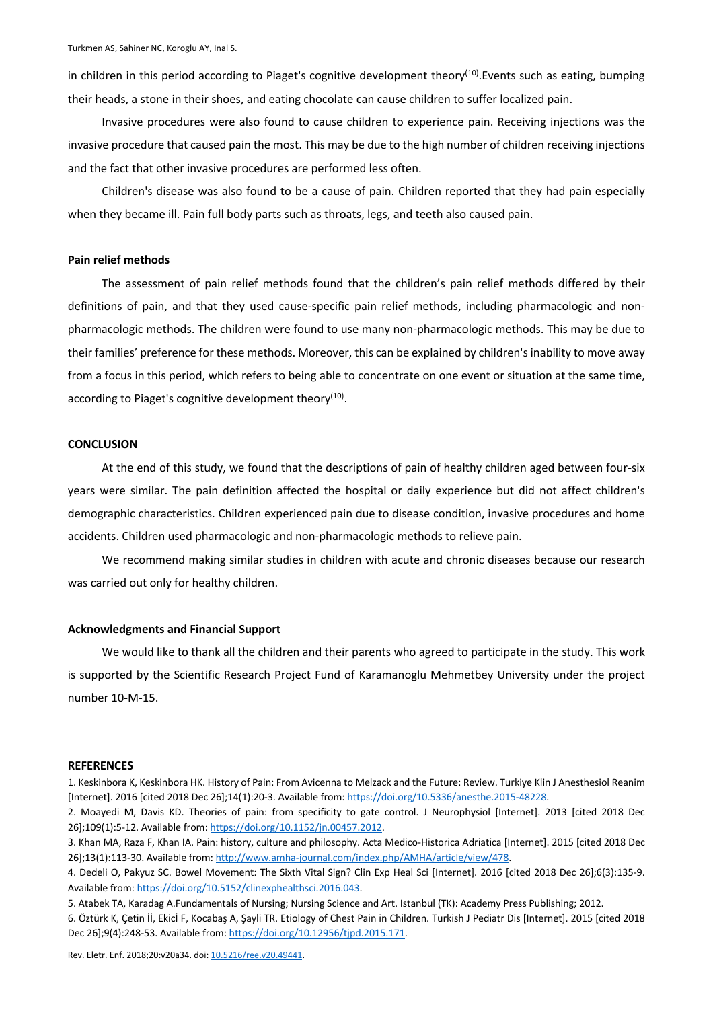in children in this period according to Piaget's cognitive development theory<sup>(10)</sup>. Events such as eating, bumping their heads, a stone in their shoes, and eating chocolate can cause children to suffer localized pain.

Invasive procedures were also found to cause children to experience pain. Receiving injections was the invasive procedure that caused pain the most. This may be due to the high number of children receiving injections and the fact that other invasive procedures are performed less often.

Children's disease was also found to be a cause of pain. Children reported that they had pain especially when they became ill. Pain full body parts such as throats, legs, and teeth also caused pain.

# **Pain relief methods**

The assessment of pain relief methods found that the children's pain relief methods differed by their definitions of pain, and that they used cause-specific pain relief methods, including pharmacologic and nonpharmacologic methods. The children were found to use many non-pharmacologic methods. This may be due to their families' preference for these methods. Moreover, this can be explained by children's inability to move away from a focus in this period, which refers to being able to concentrate on one event or situation at the same time, according to Piaget's cognitive development theory<sup>(10)</sup>.

## **CONCLUSION**

At the end of this study, we found that the descriptions of pain of healthy children aged between four-six years were similar. The pain definition affected the hospital or daily experience but did not affect children's demographic characteristics. Children experienced pain due to disease condition, invasive procedures and home accidents. Children used pharmacologic and non-pharmacologic methods to relieve pain.

We recommend making similar studies in children with acute and chronic diseases because our research was carried out only for healthy children.

## **Acknowledgments and Financial Support**

We would like to thank all the children and their parents who agreed to participate in the study. This work is supported by the Scientific Research Project Fund of Karamanoglu Mehmetbey University under the project number 10-M-15.

#### **REFERENCES**

- 1. Keskinbora K, Keskinbora HK. History of Pain: From Avicenna to Melzack and the Future: Review. Turkiye Klin J Anesthesiol Reanim [Internet]. 2016 [cited 2018 Dec 26];14(1):20-3. Available from: https://doi.org/10.5336/anesthe.2015-48228.
- 2. Moayedi M, Davis KD. Theories of pain: from specificity to gate control. J Neurophysiol [Internet]. 2013 [cited 2018 Dec 26];109(1):5-12. Available from: https://doi.org/10.1152/jn.00457.2012.
- 3. Khan MA, Raza F, Khan IA. Pain: history, culture and philosophy. Acta Medico-Historica Adriatica [Internet]. 2015 [cited 2018 Dec 26];13(1):113-30. Available from: http://www.amha-journal.com/index.php/AMHA/article/view/478.
- 4. Dedeli O, Pakyuz SC. Bowel Movement: The Sixth Vital Sign? Clin Exp Heal Sci [Internet]. 2016 [cited 2018 Dec 26];6(3):135-9. Available from: https://doi.org/10.5152/clinexphealthsci.2016.043.
- 5. Atabek TA, Karadag A.Fundamentals of Nursing; Nursing Science and Art. Istanbul (TK): Academy Press Publishing; 2012.
- 6. Öztürk K, Çetin İİ, Ekicİ F, Kocabaş A, Şayli TR. Etiology of Chest Pain in Children. Turkish J Pediatr Dis [Internet]. 2015 [cited 2018 Dec 26];9(4):248-53. Available from: https://doi.org/10.12956/tjpd.2015.171.